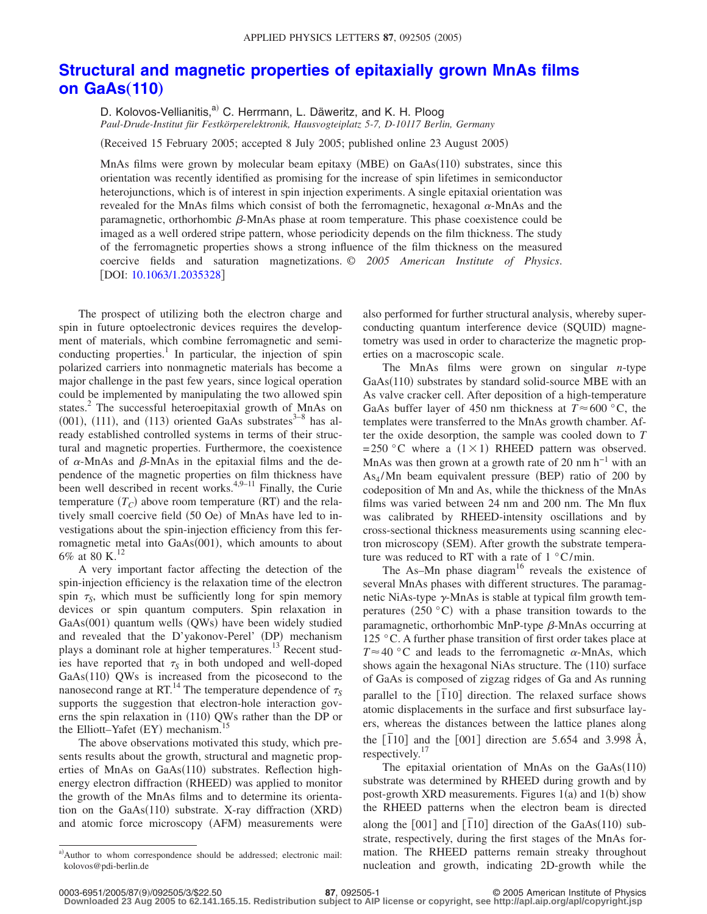## **[Structural and magnetic properties of epitaxially grown MnAs films](http://dx.doi.org/10.1063/1.2035328) [on GaAs](http://dx.doi.org/10.1063/1.2035328)(110)**

D. Kolovos-Vellianitis,<sup>a)</sup> C. Herrmann, L. Däweritz, and K. H. Ploog *Paul-Drude-Institut für Festkörperelektronik, Hausvogteiplatz 5-7, D-10117 Berlin, Germany*

(Received 15 February 2005; accepted 8 July 2005; published online 23 August 2005)

MnAs films were grown by molecular beam epitaxy (MBE) on  $GaAs(110)$  substrates, since this orientation was recently identified as promising for the increase of spin lifetimes in semiconductor heterojunctions, which is of interest in spin injection experiments. A single epitaxial orientation was revealed for the MnAs films which consist of both the ferromagnetic, hexagonal  $\alpha$ -MnAs and the paramagnetic, orthorhombic  $\beta$ -MnAs phase at room temperature. This phase coexistence could be imaged as a well ordered stripe pattern, whose periodicity depends on the film thickness. The study of the ferromagnetic properties shows a strong influence of the film thickness on the measured coercive fields and saturation magnetizations. © *2005 American Institute of Physics*. [DOI: [10.1063/1.2035328](http://dx.doi.org/10.1063/1.2035328)]

The prospect of utilizing both the electron charge and spin in future optoelectronic devices requires the development of materials, which combine ferromagnetic and semiconducting properties.<sup>1</sup> In particular, the injection of spin polarized carriers into nonmagnetic materials has become a major challenge in the past few years, since logical operation could be implemented by manipulating the two allowed spin states.<sup>2</sup> The successful heteroepitaxial growth of MnAs on (001), (111), and (113) oriented GaAs substrates $3-8$  has already established controlled systems in terms of their structural and magnetic properties. Furthermore, the coexistence of  $\alpha$ -MnAs and  $\beta$ -MnAs in the epitaxial films and the dependence of the magnetic properties on film thickness have been well described in recent works. $4,9-11$  Finally, the Curie temperature  $(T_C)$  above room temperature  $(RT)$  and the relatively small coercive field (50 Oe) of MnAs have led to investigations about the spin-injection efficiency from this ferromagnetic metal into GaAs(001), which amounts to about 6% at 80 K. $^{12}$ 

A very important factor affecting the detection of the spin-injection efficiency is the relaxation time of the electron spin  $\tau_s$ , which must be sufficiently long for spin memory devices or spin quantum computers. Spin relaxation in GaAs(001) quantum wells (QWs) have been widely studied and revealed that the D'yakonov-Perel' (DP) mechanism plays a dominant role at higher temperatures.<sup>13</sup> Recent studies have reported that  $\tau_s$  in both undoped and well-doped  $GaAs(110)$  QWs is increased from the picosecond to the nanosecond range at RT.<sup>14</sup> The temperature dependence of  $\tau_s$ supports the suggestion that electron-hole interaction governs the spin relaxation in (110) QWs rather than the DP or the Elliott-Yafet (EY) mechanism.<sup>15</sup>

The above observations motivated this study, which presents results about the growth, structural and magnetic properties of MnAs on GaAs(110) substrates. Reflection highenergy electron diffraction (RHEED) was applied to monitor the growth of the MnAs films and to determine its orientation on the GaAs(110) substrate. X-ray diffraction (XRD) and atomic force microscopy (AFM) measurements were

also performed for further structural analysis, whereby superconducting quantum interference device (SQUID) magnetometry was used in order to characterize the magnetic properties on a macroscopic scale.

The MnAs films were grown on singular *n*-type GaAs(110) substrates by standard solid-source MBE with an As valve cracker cell. After deposition of a high-temperature GaAs buffer layer of 450 nm thickness at  $T \approx 600$  °C, the templates were transferred to the MnAs growth chamber. After the oxide desorption, the sample was cooled down to *T*  $= 250$  °C where a (1 × 1) RHEED pattern was observed. MnAs was then grown at a growth rate of 20 nm h<sup>-1</sup> with an  $As<sub>4</sub>/Mn$  beam equivalent pressure (BEP) ratio of 200 by codeposition of Mn and As, while the thickness of the MnAs films was varied between 24 nm and 200 nm. The Mn flux was calibrated by RHEED-intensity oscillations and by cross-sectional thickness measurements using scanning electron microscopy (SEM). After growth the substrate temperature was reduced to RT with a rate of  $1 \degree C/min$ .

The As–Mn phase diagram<sup>16</sup> reveals the existence of several MnAs phases with different structures. The paramagnetic NiAs-type  $\gamma$ -MnAs is stable at typical film growth temperatures  $(250 °C)$  with a phase transition towards to the paramagnetic, orthorhombic MnP-type  $\beta$ -MnAs occurring at 125 °C. A further phase transition of first order takes place at  $T \approx 40$  °C and leads to the ferromagnetic  $\alpha$ -MnAs, which shows again the hexagonal NiAs structure. The (110) surface of GaAs is composed of zigzag ridges of Ga and As running parallel to the [1<sup>10</sup>] direction. The relaxed surface shows atomic displacements in the surface and first subsurface layers, whereas the distances between the lattice planes along the  $[110]$  and the  $[001]$  direction are 5.654 and 3.998 Å, respectively.<sup>17</sup>

The epitaxial orientation of MnAs on the GaAs(110) substrate was determined by RHEED during growth and by post-growth XRD measurements. Figures  $1(a)$  and  $1(b)$  show the RHEED patterns when the electron beam is directed along the  $[001]$  and  $[\bar{1}10]$  direction of the GaAs(110) substrate, respectively, during the first stages of the MnAs formation. The RHEED patterns remain streaky throughout nucleation and growth, indicating 2D-growth while the

a)Author to whom correspondence should be addressed; electronic mail: kolovos@pdi-berlin.de

<sup>87, 092505-1</sup> **87, 092505-1** © 2005 American Institute of Physics

**Downloaded 23 Aug 2005 to 62.141.165.15. Redistribution subject to AIP license or copyright, see http://apl.aip.org/apl/copyright.jsp**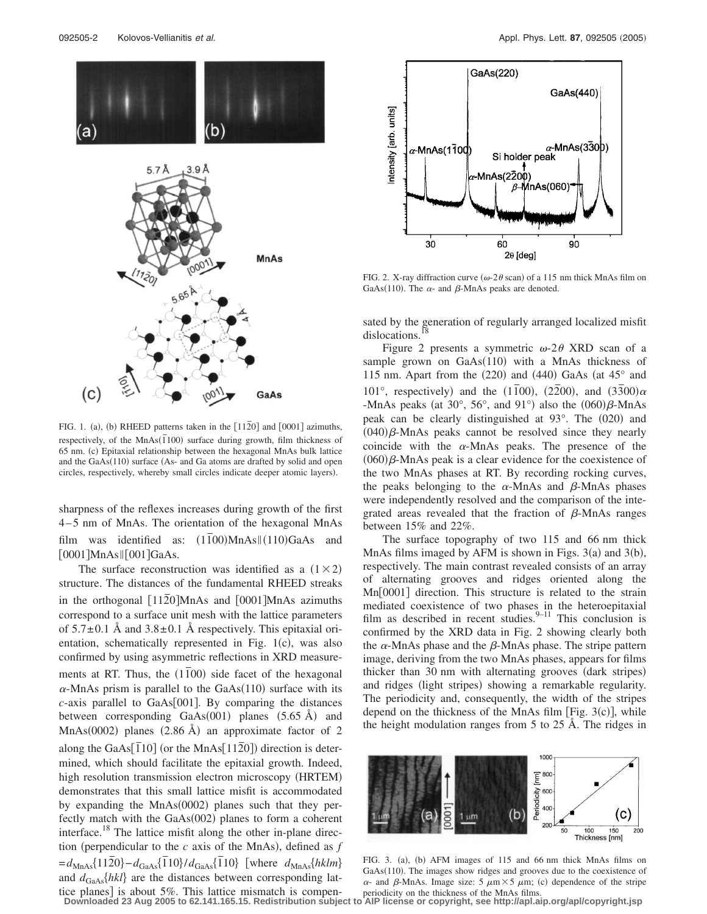

FIG. 1. (a), (b) RHEED patterns taken in the  $[11\overline{2}0]$  and  $[0001]$  azimuths, respectively, of the  $MnAs(\overline{1}100)$  surface during growth, film thickness of 65 nm. (c) Epitaxial relationship between the hexagonal MnAs bulk lattice and the GaAs(110) surface (As- and Ga atoms are drafted by solid and open circles, respectively, whereby small circles indicate deeper atomic layers).

sharpness of the reflexes increases during growth of the first 4 – 5 nm of MnAs. The orientation of the hexagonal MnAs film was identified as:  $(1\overline{1}00)$ MnAs $\parallel$ (110)GaAs and  $[0001]$ MnAs $\parallel$  $[001]$ GaAs.

The surface reconstruction was identified as a  $(1 \times 2)$ structure. The distances of the fundamental RHEED streaks in the orthogonal [1120<sup>]</sup>MnAs and [0001<sup>]</sup>MnAs azimuths correspond to a surface unit mesh with the lattice parameters of  $5.7\pm0.1$  Å and  $3.8\pm0.1$  Å respectively. This epitaxial orientation, schematically represented in Fig.  $1(c)$ , was also confirmed by using asymmetric reflections in XRD measurements at RT. Thus, the  $(1\bar{1}00)$  side facet of the hexagonal  $\alpha$ -MnAs prism is parallel to the GaAs(110) surface with its  $c$ -axis parallel to GaAs $[001]$ . By comparing the distances between corresponding  $GaAs(001)$  planes  $(5.65 \text{ Å})$  and MnAs(0002) planes  $(2.86 \text{ Å})$  an approximate factor of 2 along the GaAs[ $\overline{1}$ 10] (or the MnAs[ $11\overline{2}$ 0]) direction is determined, which should facilitate the epitaxial growth. Indeed, high resolution transmission electron microscopy (HRTEM) demonstrates that this small lattice misfit is accommodated by expanding the  $MnAs(0002)$  planes such that they perfectly match with the GaAs(002) planes to form a coherent interface.<sup>18</sup> The lattice misfit along the other in-plane direction (perpendicular to the  $c$  axis of the MnAs), defined as  $f$  $=$ *d*<sub>MnAs</sub>{1120} – *d*<sub>GaAs</sub>{110}/*d*<sub>GaAs</sub>{110} [where *d*<sub>MnAs</sub>{*hklm*} and  $d_{\text{GaAs}}\{hkl\}$  are the distances between corresponding lattice planes] is about  $5\%$ . This lattice mismatch is compen-



FIG. 2. X-ray diffraction curve ( $\omega$ -2 $\theta$  scan) of a 115 nm thick MnAs film on GaAs(110). The  $\alpha$ - and  $\beta$ -MnAs peaks are denoted.

sated by the generation of regularly arranged localized misfit dislocations.

Figure 2 presents a symmetric  $\omega$ -2 $\theta$  XRD scan of a sample grown on GaAs(110) with a MnAs thickness of 115 nm. Apart from the  $(220)$  and  $(440)$  GaAs (at  $45^\circ$  and 101°, respectively) and the  $(1\overline{1}00)$ ,  $(2\overline{2}00)$ , and  $(3\overline{3}00)\alpha$ -MnAs peaks (at 30 $^{\circ}$ , 56 $^{\circ}$ , and 91 $^{\circ}$ ) also the  $(060)\beta$ -MnAs peak can be clearly distinguished at 93°. The (020) and  $(040)\beta$ -MnAs peaks cannot be resolved since they nearly coincide with the  $\alpha$ -MnAs peaks. The presence of the  $(060)\beta$ -MnAs peak is a clear evidence for the coexistence of the two MnAs phases at RT. By recording rocking curves, the peaks belonging to the  $\alpha$ -MnAs and  $\beta$ -MnAs phases were independently resolved and the comparison of the integrated areas revealed that the fraction of  $\beta$ -MnAs ranges between 15% and 22%.

The surface topography of two 115 and 66 nm thick MnAs films imaged by AFM is shown in Figs.  $3(a)$  and  $3(b)$ , respectively. The main contrast revealed consists of an array of alternating grooves and ridges oriented along the  $Mn[0001]$  direction. This structure is related to the strain mediated coexistence of two phases in the heteroepitaxial film as described in recent studies. $9-11$  This conclusion is confirmed by the XRD data in Fig. 2 showing clearly both the  $\alpha$ -MnAs phase and the  $\beta$ -MnAs phase. The stripe pattern image, deriving from the two MnAs phases, appears for films thicker than 30 nm with alternating grooves (dark stripes) and ridges (light stripes) showing a remarkable regularity. The periodicity and, consequently, the width of the stripes depend on the thickness of the MnAs film [Fig.  $3(c)$ ], while the height modulation ranges from 5 to 25 Å. The ridges in



FIG. 3. (a), (b) AFM images of 115 and 66 nm thick MnAs films on GaAs(110). The images show ridges and grooves due to the coexistence of  $\alpha$ - and  $\beta$ -MnAs. Image size: 5  $\mu$ m × 5  $\mu$ m; (c) dependence of the stripe periodicity on the thickness of the MnAs films.

**Downloaded 23 Aug 2005 to 62.141.165.15. Redistribution subject to AIP license or copyright, see http://apl.aip.org/apl/copyright.jsp**